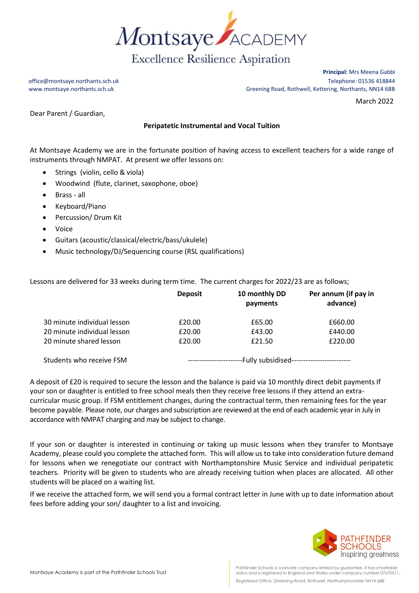

**Principal:** Mrs Meena Gabbi office@montsaye.northants.sch.uk Telephone: 01536 418844 www.montsaye.northants.sch.uk Greening Road, Rothwell, Kettering, Northants, NN14 6BB

March 2022

Dear Parent / Guardian,

## **Peripatetic Instrumental and Vocal Tuition**

At Montsaye Academy we are in the fortunate position of having access to excellent teachers for a wide range of instruments through NMPAT. At present we offer lessons on:

- Strings (violin, cello & viola)
- Woodwind (flute, clarinet, saxophone, oboe)
- Brass all
- Keyboard/Piano
- Percussion/ Drum Kit
- Voice
- Guitars (acoustic/classical/electric/bass/ukulele)
- Music technology/DJ/Sequencing course (RSL qualifications)

Lessons are delivered for 33 weeks during term time. The current charges for 2022/23 are as follows;

|                             | <b>Deposit</b>                                                    | 10 monthly DD<br>payments | Per annum (if pay in<br>advance) |
|-----------------------------|-------------------------------------------------------------------|---------------------------|----------------------------------|
| 30 minute individual lesson | £20.00                                                            | £65.00                    | £660.00                          |
| 20 minute individual lesson | £20.00                                                            | £43.00                    | £440.00                          |
| 20 minute shared lesson     | £20.00                                                            | £21.50                    | £220.00                          |
| Students who receive FSM    | --Fully subsidised-------------------------<br>------------------ |                           |                                  |

A deposit of £20 is required to secure the lesson and the balance is paid via 10 monthly direct debit payments If your son or daughter is entitled to free school meals then they receive free lessons if they attend an extracurricular music group. If FSM entitlement changes, during the contractual term, then remaining fees for the year become payable. Please note, our charges and subscription are reviewed at the end of each academic year in July in accordance with NMPAT charging and may be subject to change.

If your son or daughter is interested in continuing or taking up music lessons when they transfer to Montsaye Academy, please could you complete the attached form. This will allow us to take into consideration future demand for lessons when we renegotiate our contract with Northamptonshire Music Service and individual peripatetic teachers. Priority will be given to students who are already receiving tuition when places are allocated. All other students will be placed on a waiting list.

If we receive the attached form, we will send you a formal contract letter in June with up to date information about fees before adding your son/ daughter to a list and invoicing.

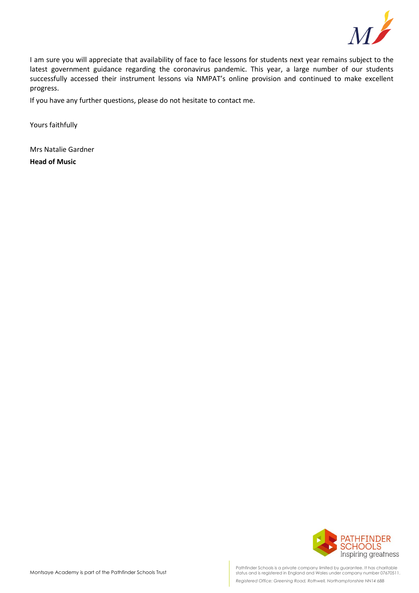

I am sure you will appreciate that availability of face to face lessons for students next year remains subject to the latest government guidance regarding the coronavirus pandemic. This year, a large number of our students successfully accessed their instrument lessons via NMPAT's online provision and continued to make excellent progress.

If you have any further questions, please do not hesitate to contact me.

Yours faithfully

Mrs Natalie Gardner **Head of Music**



Pathfinder Schools is a private company limited by guarantee. It has charitable status and is registered in England and Wales under company number 07670511. *Registered Office: Greening Road, Rothwell, Northamptonshire NN14 6BB*